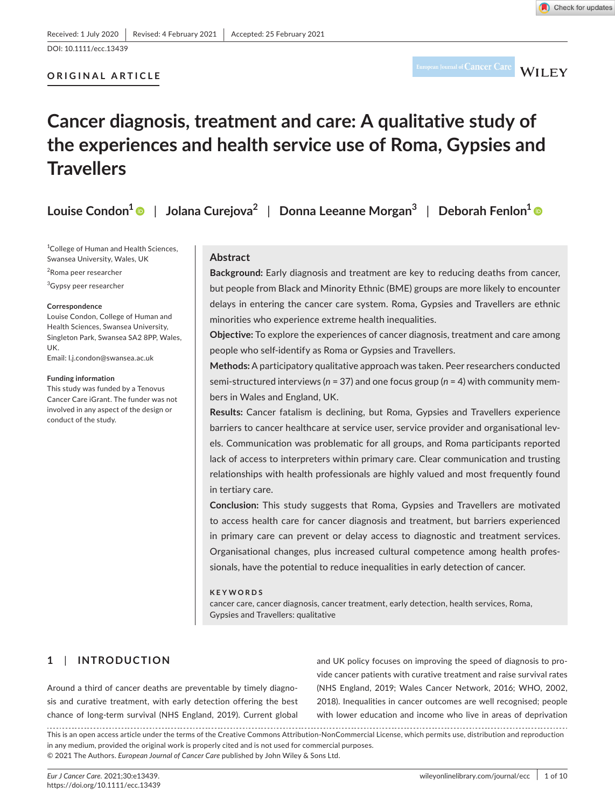# **ORIGINAL ARTICLE**

European Journal of  $Cancer Care$   $WILEY$ 

# **Cancer diagnosis, treatment and care: A qualitative study of the experiences and health service use of Roma, Gypsies and Travellers**

| Louise Condon $\textsuperscript{1}\,\circledast\,  \,$ Jolana Curejova $\textsuperscript{2}$ $  \,$ Donna Leeanne Morgan $\textsuperscript{3}$ $  \,$ Deborah Fenlon $\textsuperscript{1}\,\circledast\,$ |  |  |
|-----------------------------------------------------------------------------------------------------------------------------------------------------------------------------------------------------------|--|--|
|-----------------------------------------------------------------------------------------------------------------------------------------------------------------------------------------------------------|--|--|

<sup>1</sup>College of Human and Health Sciences, Swansea University, Wales, UK

2 Roma peer researcher

3 Gypsy peer researcher

#### **Correspondence**

Louise Condon, College of Human and Health Sciences, Swansea University, Singleton Park, Swansea SA2 8PP, Wales, UK.

Email: [l.j.condon@swansea.ac.uk](mailto:l.j.condon@swansea.ac.uk)

#### **Funding information**

This study was funded by a Tenovus Cancer Care iGrant. The funder was not involved in any aspect of the design or conduct of the study.

#### **Abstract**

**Background:** Early diagnosis and treatment are key to reducing deaths from cancer, but people from Black and Minority Ethnic (BME) groups are more likely to encounter delays in entering the cancer care system. Roma, Gypsies and Travellers are ethnic minorities who experience extreme health inequalities.

**Objective:** To explore the experiences of cancer diagnosis, treatment and care among people who self-identify as Roma or Gypsies and Travellers.

**Methods:** A participatory qualitative approach was taken. Peer researchers conducted semi-structured interviews (*n* = 37) and one focus group (*n* = 4) with community members in Wales and England, UK.

**Results:** Cancer fatalism is declining, but Roma, Gypsies and Travellers experience barriers to cancer healthcare at service user, service provider and organisational levels. Communication was problematic for all groups, and Roma participants reported lack of access to interpreters within primary care. Clear communication and trusting relationships with health professionals are highly valued and most frequently found in tertiary care.

**Conclusion:** This study suggests that Roma, Gypsies and Travellers are motivated to access health care for cancer diagnosis and treatment, but barriers experienced in primary care can prevent or delay access to diagnostic and treatment services. Organisational changes, plus increased cultural competence among health professionals, have the potential to reduce inequalities in early detection of cancer.

#### **KEYWORDS**

cancer care, cancer diagnosis, cancer treatment, early detection, health services, Roma, Gypsies and Travellers: qualitative

# **1**  | **INTRODUCTION**

Around a third of cancer deaths are preventable by timely diagnosis and curative treatment, with early detection offering the best chance of long-term survival (NHS England, 2019). Current global and UK policy focuses on improving the speed of diagnosis to provide cancer patients with curative treatment and raise survival rates (NHS England, 2019; Wales Cancer Network, 2016; WHO, 2002, 2018). Inequalities in cancer outcomes are well recognised; people with lower education and income who live in areas of deprivation

This is an open access article under the terms of the [Creative Commons Attribution-NonCommercial](http://creativecommons.org/licenses/by-nc/4.0/) License, which permits use, distribution and reproduction in any medium, provided the original work is properly cited and is not used for commercial purposes. © 2021 The Authors. *European Journal of Cancer Care* published by John Wiley & Sons Ltd.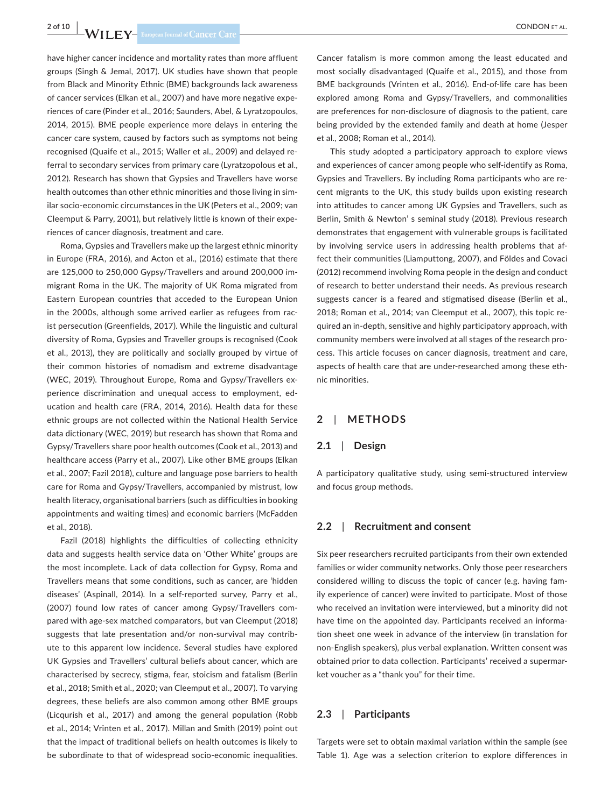have higher cancer incidence and mortality rates than more affluent groups (Singh & Jemal, 2017). UK studies have shown that people from Black and Minority Ethnic (BME) backgrounds lack awareness of cancer services (Elkan et al., 2007) and have more negative experiences of care (Pinder et al., 2016; Saunders, Abel, & Lyratzopoulos, 2014, 2015). BME people experience more delays in entering the cancer care system, caused by factors such as symptoms not being recognised (Quaife et al., 2015; Waller et al., 2009) and delayed referral to secondary services from primary care (Lyratzopolous et al., 2012). Research has shown that Gypsies and Travellers have worse health outcomes than other ethnic minorities and those living in similar socio-economic circumstances in the UK (Peters et al., 2009; van Cleemput & Parry, 2001), but relatively little is known of their experiences of cancer diagnosis, treatment and care.

Roma, Gypsies and Travellers make up the largest ethnic minority in Europe (FRA, 2016), and Acton et al., (2016) estimate that there are 125,000 to 250,000 Gypsy/Travellers and around 200,000 immigrant Roma in the UK. The majority of UK Roma migrated from Eastern European countries that acceded to the European Union in the 2000s, although some arrived earlier as refugees from racist persecution (Greenfields, 2017). While the linguistic and cultural diversity of Roma, Gypsies and Traveller groups is recognised (Cook et al., 2013), they are politically and socially grouped by virtue of their common histories of nomadism and extreme disadvantage (WEC, 2019). Throughout Europe, Roma and Gypsy/Travellers experience discrimination and unequal access to employment, education and health care (FRA, 2014, 2016). Health data for these ethnic groups are not collected within the National Health Service data dictionary (WEC, 2019) but research has shown that Roma and Gypsy/Travellers share poor health outcomes (Cook et al., 2013) and healthcare access (Parry et al., 2007). Like other BME groups (Elkan et al., 2007; Fazil 2018), culture and language pose barriers to health care for Roma and Gypsy/Travellers, accompanied by mistrust, low health literacy, organisational barriers (such as difficulties in booking appointments and waiting times) and economic barriers (McFadden et al., 2018).

Fazil (2018) highlights the difficulties of collecting ethnicity data and suggests health service data on 'Other White' groups are the most incomplete. Lack of data collection for Gypsy, Roma and Travellers means that some conditions, such as cancer, are 'hidden diseases' (Aspinall, 2014). In a self-reported survey, Parry et al., (2007) found low rates of cancer among Gypsy/Travellers compared with age-sex matched comparators, but van Cleemput (2018) suggests that late presentation and/or non-survival may contribute to this apparent low incidence. Several studies have explored UK Gypsies and Travellers' cultural beliefs about cancer, which are characterised by secrecy, stigma, fear, stoicism and fatalism (Berlin et al., 2018; Smith et al., 2020; van Cleemput et al., 2007). To varying degrees, these beliefs are also common among other BME groups (Licqurish et al., 2017) and among the general population (Robb et al., 2014; Vrinten et al., 2017). Millan and Smith (2019) point out that the impact of traditional beliefs on health outcomes is likely to be subordinate to that of widespread socio-economic inequalities.

Cancer fatalism is more common among the least educated and most socially disadvantaged (Quaife et al., 2015), and those from BME backgrounds (Vrinten et al., 2016). End-of-life care has been explored among Roma and Gypsy/Travellers, and commonalities are preferences for non-disclosure of diagnosis to the patient, care being provided by the extended family and death at home (Jesper et al., 2008; Roman et al., 2014).

This study adopted a participatory approach to explore views and experiences of cancer among people who self-identify as Roma, Gypsies and Travellers. By including Roma participants who are recent migrants to the UK, this study builds upon existing research into attitudes to cancer among UK Gypsies and Travellers, such as Berlin, Smith & Newton' s seminal study (2018). Previous research demonstrates that engagement with vulnerable groups is facilitated by involving service users in addressing health problems that affect their communities (Liamputtong, 2007), and Földes and Covaci (2012) recommend involving Roma people in the design and conduct of research to better understand their needs. As previous research suggests cancer is a feared and stigmatised disease (Berlin et al., 2018; Roman et al., 2014; van Cleemput et al., 2007), this topic required an in-depth, sensitive and highly participatory approach, with community members were involved at all stages of the research process. This article focuses on cancer diagnosis, treatment and care, aspects of health care that are under-researched among these ethnic minorities.

# **2**  | **METHODS**

# **2.1**  | **Design**

A participatory qualitative study, using semi-structured interview and focus group methods.

#### **2.2**  | **Recruitment and consent**

Six peer researchers recruited participants from their own extended families or wider community networks. Only those peer researchers considered willing to discuss the topic of cancer (e.g. having family experience of cancer) were invited to participate. Most of those who received an invitation were interviewed, but a minority did not have time on the appointed day. Participants received an information sheet one week in advance of the interview (in translation for non-English speakers), plus verbal explanation. Written consent was obtained prior to data collection. Participants' received a supermarket voucher as a "thank you" for their time.

# **2.3**  | **Participants**

Targets were set to obtain maximal variation within the sample (see Table 1). Age was a selection criterion to explore differences in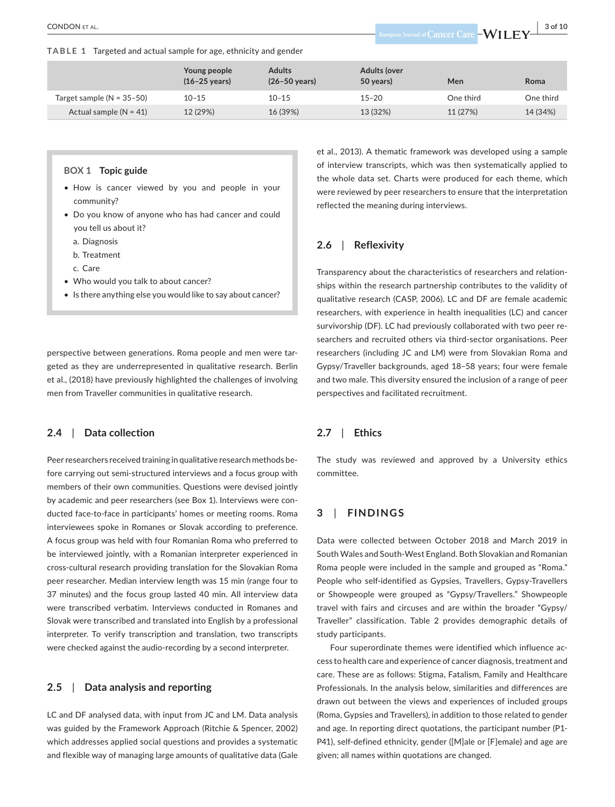**TABLE 1** Targeted and actual sample for age, ethnicity and gender

|                             | Young people<br>$(16-25 \text{ years})$ | <b>Adults</b><br>$(26-50 \text{ years})$ | <b>Adults (over</b><br>50 years) | Men       | Roma      |
|-----------------------------|-----------------------------------------|------------------------------------------|----------------------------------|-----------|-----------|
| Target sample $(N = 35-50)$ | $10 - 15$                               | $10 - 15$                                | $15 - 20$                        | One third | One third |
| Actual sample $(N = 41)$    | 12 (29%)                                | 16 (39%)                                 | 13 (32%)                         | 11 (27%)  | 14 (34%)  |

#### **BOX 1 Topic guide**

- How is cancer viewed by you and people in your community?
- Do you know of anyone who has had cancer and could you tell us about it?
	- a. Diagnosis
	- b. Treatment

c. Care

- Who would you talk to about cancer?
- Is there anything else you would like to say about cancer?

perspective between generations. Roma people and men were targeted as they are underrepresented in qualitative research. Berlin et al., (2018) have previously highlighted the challenges of involving men from Traveller communities in qualitative research.

#### **2.4**  | **Data collection**

Peer researchers received training in qualitative research methods before carrying out semi-structured interviews and a focus group with members of their own communities. Questions were devised jointly by academic and peer researchers (see Box 1). Interviews were conducted face-to-face in participants' homes or meeting rooms. Roma interviewees spoke in Romanes or Slovak according to preference. A focus group was held with four Romanian Roma who preferred to be interviewed jointly, with a Romanian interpreter experienced in cross-cultural research providing translation for the Slovakian Roma peer researcher. Median interview length was 15 min (range four to 37 minutes) and the focus group lasted 40 min. All interview data were transcribed verbatim. Interviews conducted in Romanes and Slovak were transcribed and translated into English by a professional interpreter. To verify transcription and translation, two transcripts were checked against the audio-recording by a second interpreter.

# **2.5**  | **Data analysis and reporting**

LC and DF analysed data, with input from JC and LM. Data analysis was guided by the Framework Approach (Ritchie & Spencer, 2002) which addresses applied social questions and provides a systematic and flexible way of managing large amounts of qualitative data (Gale

et al., 2013). A thematic framework was developed using a sample of interview transcripts, which was then systematically applied to the whole data set. Charts were produced for each theme, which were reviewed by peer researchers to ensure that the interpretation reflected the meaning during interviews.

# **2.6**  | **Reflexivity**

Transparency about the characteristics of researchers and relationships within the research partnership contributes to the validity of qualitative research (CASP, 2006). LC and DF are female academic researchers, with experience in health inequalities (LC) and cancer survivorship (DF). LC had previously collaborated with two peer researchers and recruited others via third-sector organisations. Peer researchers (including JC and LM) were from Slovakian Roma and Gypsy/Traveller backgrounds, aged 18–58 years; four were female and two male. This diversity ensured the inclusion of a range of peer perspectives and facilitated recruitment.

# **2.7**  | **Ethics**

The study was reviewed and approved by a University ethics committee.

# **3**  | **FINDINGS**

Data were collected between October 2018 and March 2019 in South Wales and South-West England. Both Slovakian and Romanian Roma people were included in the sample and grouped as "Roma." People who self-identified as Gypsies, Travellers, Gypsy-Travellers or Showpeople were grouped as "Gypsy/Travellers." Showpeople travel with fairs and circuses and are within the broader "Gypsy/ Traveller" classification. Table 2 provides demographic details of study participants.

Four superordinate themes were identified which influence access to health care and experience of cancer diagnosis, treatment and care. These are as follows: Stigma, Fatalism, Family and Healthcare Professionals. In the analysis below, similarities and differences are drawn out between the views and experiences of included groups (Roma, Gypsies and Travellers), in addition to those related to gender and age. In reporting direct quotations, the participant number (P1- P41), self-defined ethnicity, gender ([M]ale or [F]emale) and age are given; all names within quotations are changed.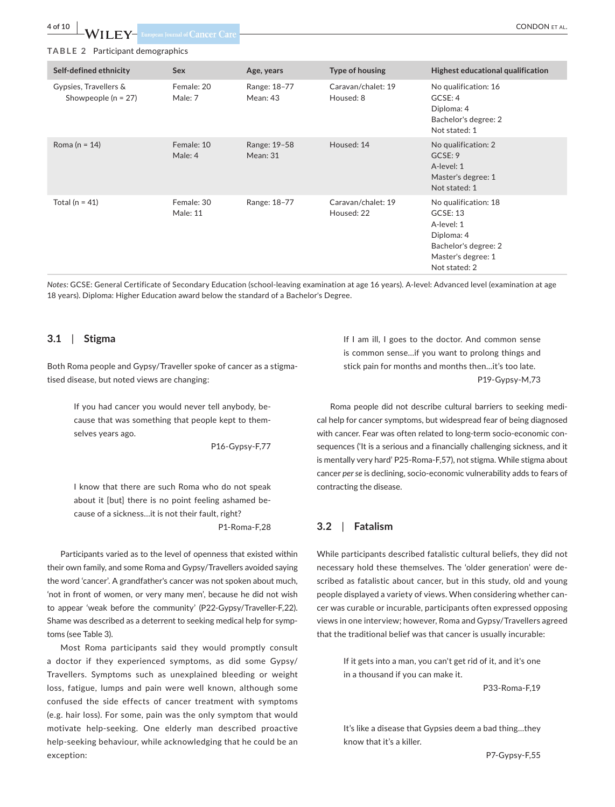**4 of 10 WII FV** European Journal of Cancer Care

#### **TABLE 2** Participant demographics

| Self-defined ethnicity                           | <b>Sex</b>                    | Age, years               | Type of housing                  | Highest educational qualification                                                                                           |
|--------------------------------------------------|-------------------------------|--------------------------|----------------------------------|-----------------------------------------------------------------------------------------------------------------------------|
| Gypsies, Travellers &<br>Showpeople ( $n = 27$ ) | Female: 20<br>Male: 7         | Range: 18-77<br>Mean: 43 | Caravan/chalet: 19<br>Housed: 8  | No qualification: 16<br>GCSE: 4<br>Diploma: 4<br>Bachelor's degree: 2<br>Not stated: 1                                      |
| Roma ( $n = 14$ )                                | Female: 10<br>Male: 4         | Range: 19-58<br>Mean: 31 | Housed: 14                       | No qualification: 2<br>GCSE: 9<br>A-level: 1<br>Master's degree: 1<br>Not stated: 1                                         |
| Total ( $n = 41$ )                               | Female: 30<br><b>Male: 11</b> | Range: 18-77             | Caravan/chalet: 19<br>Housed: 22 | No qualification: 18<br>GCSE: 13<br>A-level: 1<br>Diploma: 4<br>Bachelor's degree: 2<br>Master's degree: 1<br>Not stated: 2 |

*Notes:* GCSE: General Certificate of Secondary Education (school-leaving examination at age 16 years). A-level: Advanced level (examination at age 18 years). Diploma: Higher Education award below the standard of a Bachelor's Degree.

#### **3.1**  | **Stigma**

Both Roma people and Gypsy/Traveller spoke of cancer as a stigmatised disease, but noted views are changing:

> If you had cancer you would never tell anybody, because that was something that people kept to themselves years ago.

> > P16-Gypsy-F,77

I know that there are such Roma who do not speak about it [but] there is no point feeling ashamed because of a sickness…it is not their fault, right? P1-Roma-F,28

Participants varied as to the level of openness that existed within their own family, and some Roma and Gypsy/Travellers avoided saying the word 'cancer'. A grandfather's cancer was not spoken about much, 'not in front of women, or very many men', because he did not wish to appear 'weak before the community' (P22-Gypsy/Traveller-F,22). Shame was described as a deterrent to seeking medical help for symptoms (see Table 3).

Most Roma participants said they would promptly consult a doctor if they experienced symptoms, as did some Gypsy/ Travellers. Symptoms such as unexplained bleeding or weight loss, fatigue, lumps and pain were well known, although some confused the side effects of cancer treatment with symptoms (e.g. hair loss). For some, pain was the only symptom that would motivate help-seeking. One elderly man described proactive help-seeking behaviour, while acknowledging that he could be an exception:

If I am ill, I goes to the doctor. And common sense is common sense…if you want to prolong things and stick pain for months and months then…it's too late. P19-Gypsy-M,73

Roma people did not describe cultural barriers to seeking medical help for cancer symptoms, but widespread fear of being diagnosed with cancer. Fear was often related to long-term socio-economic consequences ('It is a serious and a financially challenging sickness, and it is mentally very hard' P25-Roma-F,57), not stigma. While stigma about cancer *per se* is declining, socio-economic vulnerability adds to fears of contracting the disease.

# **3.2**  | **Fatalism**

While participants described fatalistic cultural beliefs, they did not necessary hold these themselves. The 'older generation' were described as fatalistic about cancer, but in this study, old and young people displayed a variety of views. When considering whether cancer was curable or incurable, participants often expressed opposing views in one interview; however, Roma and Gypsy/Travellers agreed that the traditional belief was that cancer is usually incurable:

> If it gets into a man, you can't get rid of it, and it's one in a thousand if you can make it.

> > P33-Roma-F,19

It's like a disease that Gypsies deem a bad thing…they know that it's a killer.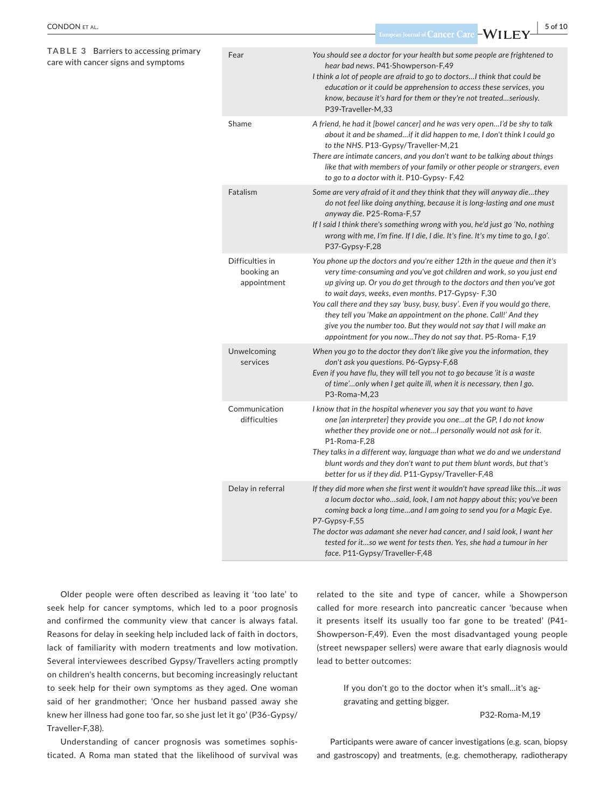**TABLE 3** Barriers to accessing primary care with cancer signs and symptoms

| Fear                                         | You should see a doctor for your health but some people are frightened to<br>hear bad news. P41-Showperson-F,49<br>I think a lot of people are afraid to go to doctors I think that could be<br>education or it could be apprehension to access these services, you<br>know, because it's hard for them or they're not treatedseriously.<br>P39-Traveller-M.33                                                                                                                                                                                                            |
|----------------------------------------------|---------------------------------------------------------------------------------------------------------------------------------------------------------------------------------------------------------------------------------------------------------------------------------------------------------------------------------------------------------------------------------------------------------------------------------------------------------------------------------------------------------------------------------------------------------------------------|
| Shame                                        | A friend, he had it [bowel cancer] and he was very openI'd be shy to talk<br>about it and be shamedif it did happen to me, I don't think I could go<br>to the NHS. P13-Gypsy/Traveller-M,21<br>There are intimate cancers, and you don't want to be talking about things<br>like that with members of your family or other people or strangers, even<br>to go to a doctor with it. P10-Gypsy-F,42                                                                                                                                                                         |
| Fatalism                                     | Some are very afraid of it and they think that they will anyway diethey<br>do not feel like doing anything, because it is long-lasting and one must<br>anyway die. P25-Roma-F,57<br>If I said I think there's something wrong with you, he'd just go 'No, nothing<br>wrong with me, I'm fine. If I die, I die. It's fine. It's my time to go, I go'.<br>P37-Gypsy-F,28                                                                                                                                                                                                    |
| Difficulties in<br>booking an<br>appointment | You phone up the doctors and you're either 12th in the queue and then it's<br>very time-consuming and you've got children and work, so you just end<br>up giving up. Or you do get through to the doctors and then you've got<br>to wait days, weeks, even months. P17-Gypsy- F,30<br>You call there and they say 'busy, busy, busy'. Even if you would go there,<br>they tell you 'Make an appointment on the phone. Call!' And they<br>give you the number too. But they would not say that I will make an<br>appointment for you nowThey do not say that. P5-Roma-F,19 |
| Unwelcoming<br>services                      | When you go to the doctor they don't like give you the information, they<br>don't ask you questions. P6-Gypsy-F,68<br>Even if you have flu, they will tell you not to go because 'it is a waste<br>of time'only when I get quite ill, when it is necessary, then I go.<br>P3-Roma-M,23                                                                                                                                                                                                                                                                                    |
| Communication<br>difficulties                | I know that in the hospital whenever you say that you want to have<br>one [an interpreter] they provide you oneat the GP, I do not know<br>whether they provide one or notI personally would not ask for it.<br>P1-Roma-F,28<br>They talks in a different way, language than what we do and we understand<br>blunt words and they don't want to put them blunt words, but that's<br>better for us if they did. P11-Gypsy/Traveller-F,48                                                                                                                                   |
| Delay in referral                            | If they did more when she first went it wouldn't have spread like thisit was<br>a locum doctor whosaid, look, I am not happy about this; you've been<br>coming back a long timeand I am going to send you for a Magic Eye.<br>P7-Gypsy-F,55<br>The doctor was adamant she never had cancer, and I said look, I want her<br>tested for itso we went for tests then. Yes, she had a tumour in her<br>face. P11-Gypsy/Traveller-F,48                                                                                                                                         |

Older people were often described as leaving it 'too late' to seek help for cancer symptoms, which led to a poor prognosis and confirmed the community view that cancer is always fatal. Reasons for delay in seeking help included lack of faith in doctors, lack of familiarity with modern treatments and low motivation. Several interviewees described Gypsy/Travellers acting promptly on children's health concerns, but becoming increasingly reluctant to seek help for their own symptoms as they aged. One woman said of her grandmother; 'Once her husband passed away she knew her illness had gone too far, so she just let it go' (P36-Gypsy/ Traveller-F,38).

Understanding of cancer prognosis was sometimes sophisticated. A Roma man stated that the likelihood of survival was related to the site and type of cancer, while a Showperson called for more research into pancreatic cancer 'because when it presents itself its usually too far gone to be treated' (P41- Showperson-F,49). Even the most disadvantaged young people (street newspaper sellers) were aware that early diagnosis would lead to better outcomes:

> If you don't go to the doctor when it's small…it's aggravating and getting bigger.

#### P32-Roma-M,19

Participants were aware of cancer investigations (e.g. scan, biopsy and gastroscopy) and treatments, (e.g. chemotherapy, radiotherapy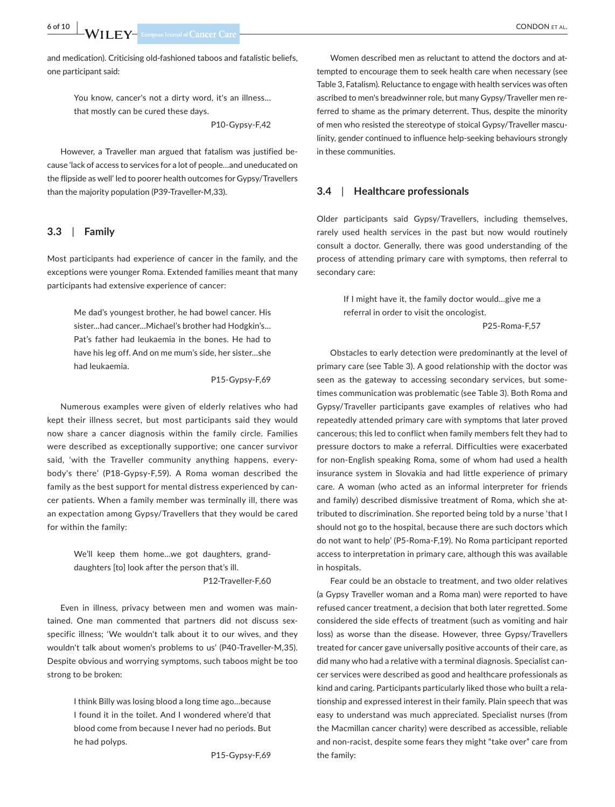and medication). Criticising old-fashioned taboos and fatalistic beliefs, one participant said:

> You know, cancer's not a dirty word, it's an illness… that mostly can be cured these days.

> > P10-Gypsy-F,42

However, a Traveller man argued that fatalism was justified because 'lack of access to services for a lot of people…and uneducated on the flipside as well' led to poorer health outcomes for Gypsy/Travellers than the majority population (P39-Traveller-M,33).

#### **3.3**  | **Family**

Most participants had experience of cancer in the family, and the exceptions were younger Roma. Extended families meant that many participants had extensive experience of cancer:

> Me dad's youngest brother, he had bowel cancer. His sister…had cancer…Michael's brother had Hodgkin's… Pat's father had leukaemia in the bones. He had to have his leg off. And on me mum's side, her sister…she had leukaemia.

> > P15-Gypsy-F,69

Numerous examples were given of elderly relatives who had kept their illness secret, but most participants said they would now share a cancer diagnosis within the family circle. Families were described as exceptionally supportive; one cancer survivor said, 'with the Traveller community anything happens, everybody's there' (P18-Gypsy-F,59). A Roma woman described the family as the best support for mental distress experienced by cancer patients. When a family member was terminally ill, there was an expectation among Gypsy/Travellers that they would be cared for within the family:

> We'll keep them home…we got daughters, granddaughters [to] look after the person that's ill. P12-Traveller-F,60

Even in illness, privacy between men and women was maintained. One man commented that partners did not discuss sexspecific illness; 'We wouldn't talk about it to our wives, and they wouldn't talk about women's problems to us' (P40-Traveller-M,35). Despite obvious and worrying symptoms, such taboos might be too strong to be broken:

> I think Billy was losing blood a long time ago…because I found it in the toilet. And I wondered where'd that blood come from because I never had no periods. But he had polyps.

> > P15-Gypsy-F,69

Women described men as reluctant to attend the doctors and attempted to encourage them to seek health care when necessary (see Table 3, Fatalism). Reluctance to engage with health services was often ascribed to men's breadwinner role, but many Gypsy/Traveller men referred to shame as the primary deterrent. Thus, despite the minority of men who resisted the stereotype of stoical Gypsy/Traveller masculinity, gender continued to influence help-seeking behaviours strongly in these communities.

# **3.4**  | **Healthcare professionals**

Older participants said Gypsy/Travellers, including themselves, rarely used health services in the past but now would routinely consult a doctor. Generally, there was good understanding of the process of attending primary care with symptoms, then referral to secondary care:

> If I might have it, the family doctor would…give me a referral in order to visit the oncologist.

> > P25-Roma-F,57

Obstacles to early detection were predominantly at the level of primary care (see Table 3). A good relationship with the doctor was seen as the gateway to accessing secondary services, but sometimes communication was problematic (see Table 3). Both Roma and Gypsy/Traveller participants gave examples of relatives who had repeatedly attended primary care with symptoms that later proved cancerous; this led to conflict when family members felt they had to pressure doctors to make a referral. Difficulties were exacerbated for non-English speaking Roma, some of whom had used a health insurance system in Slovakia and had little experience of primary care. A woman (who acted as an informal interpreter for friends and family) described dismissive treatment of Roma, which she attributed to discrimination. She reported being told by a nurse 'that I should not go to the hospital, because there are such doctors which do not want to help' (P5-Roma-F,19). No Roma participant reported access to interpretation in primary care, although this was available in hospitals.

Fear could be an obstacle to treatment, and two older relatives (a Gypsy Traveller woman and a Roma man) were reported to have refused cancer treatment, a decision that both later regretted. Some considered the side effects of treatment (such as vomiting and hair loss) as worse than the disease. However, three Gypsy/Travellers treated for cancer gave universally positive accounts of their care, as did many who had a relative with a terminal diagnosis. Specialist cancer services were described as good and healthcare professionals as kind and caring. Participants particularly liked those who built a relationship and expressed interest in their family. Plain speech that was easy to understand was much appreciated. Specialist nurses (from the Macmillan cancer charity) were described as accessible, reliable and non-racist, despite some fears they might "take over" care from the family: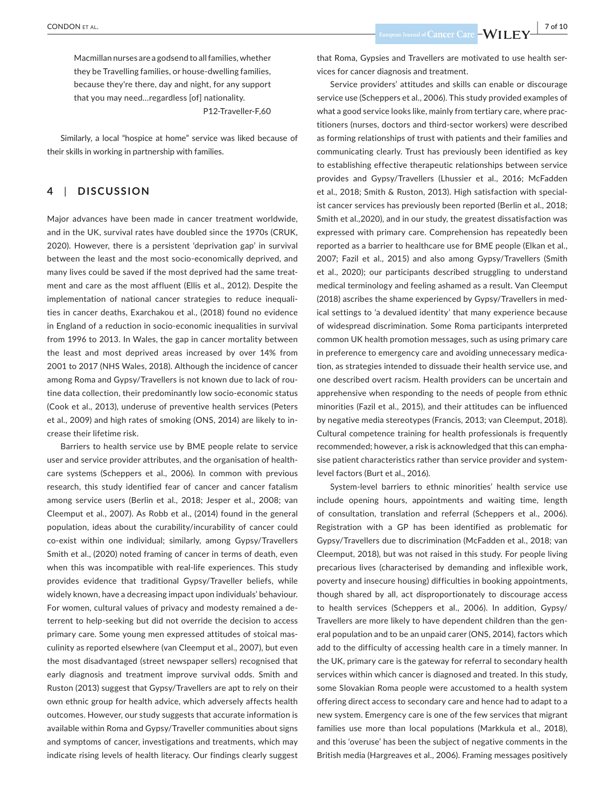Macmillan nurses are a godsend to all families, whether they be Travelling families, or house-dwelling families, because they're there, day and night, for any support that you may need…regardless [of] nationality. P12-Traveller-F,60

Similarly, a local "hospice at home" service was liked because of their skills in working in partnership with families.

# **4**  | **DISCUSSION**

Major advances have been made in cancer treatment worldwide, and in the UK, survival rates have doubled since the 1970s (CRUK, 2020). However, there is a persistent 'deprivation gap' in survival between the least and the most socio-economically deprived, and many lives could be saved if the most deprived had the same treatment and care as the most affluent (Ellis et al., 2012). Despite the implementation of national cancer strategies to reduce inequalities in cancer deaths, Exarchakou et al., (2018) found no evidence in England of a reduction in socio-economic inequalities in survival from 1996 to 2013. In Wales, the gap in cancer mortality between the least and most deprived areas increased by over 14% from 2001 to 2017 (NHS Wales, 2018). Although the incidence of cancer among Roma and Gypsy/Travellers is not known due to lack of routine data collection, their predominantly low socio-economic status (Cook et al., 2013), underuse of preventive health services (Peters et al., 2009) and high rates of smoking (ONS, 2014) are likely to increase their lifetime risk.

Barriers to health service use by BME people relate to service user and service provider attributes, and the organisation of healthcare systems (Scheppers et al., 2006). In common with previous research, this study identified fear of cancer and cancer fatalism among service users (Berlin et al., 2018; Jesper et al., 2008; van Cleemput et al., 2007). As Robb et al., (2014) found in the general population, ideas about the curability/incurability of cancer could co-exist within one individual; similarly, among Gypsy/Travellers Smith et al., (2020) noted framing of cancer in terms of death, even when this was incompatible with real-life experiences. This study provides evidence that traditional Gypsy/Traveller beliefs, while widely known, have a decreasing impact upon individuals' behaviour. For women, cultural values of privacy and modesty remained a deterrent to help-seeking but did not override the decision to access primary care. Some young men expressed attitudes of stoical masculinity as reported elsewhere (van Cleemput et al., 2007), but even the most disadvantaged (street newspaper sellers) recognised that early diagnosis and treatment improve survival odds. Smith and Ruston (2013) suggest that Gypsy/Travellers are apt to rely on their own ethnic group for health advice, which adversely affects health outcomes. However, our study suggests that accurate information is available within Roma and Gypsy/Traveller communities about signs and symptoms of cancer, investigations and treatments, which may indicate rising levels of health literacy. Our findings clearly suggest

 **CONDON** ET AL. *PHONON ET AL. PHONON ET AL. PHONON ET AL. PHONON ET AL.* **<b>***PHONON ET AL. PHONON ET AL. PHONON ET AL. PHONON ET AL. PHONON ET AL. PHONON ET AL. PHONON ET AL. PHONON* 

that Roma, Gypsies and Travellers are motivated to use health services for cancer diagnosis and treatment.

Service providers' attitudes and skills can enable or discourage service use (Scheppers et al., 2006). This study provided examples of what a good service looks like, mainly from tertiary care, where practitioners (nurses, doctors and third-sector workers) were described as forming relationships of trust with patients and their families and communicating clearly. Trust has previously been identified as key to establishing effective therapeutic relationships between service provides and Gypsy/Travellers (Lhussier et al., 2016; McFadden et al., 2018; Smith & Ruston, 2013). High satisfaction with specialist cancer services has previously been reported (Berlin et al., 2018; Smith et al.,2020), and in our study, the greatest dissatisfaction was expressed with primary care. Comprehension has repeatedly been reported as a barrier to healthcare use for BME people (Elkan et al., 2007; Fazil et al., 2015) and also among Gypsy/Travellers (Smith et al., 2020); our participants described struggling to understand medical terminology and feeling ashamed as a result. Van Cleemput (2018) ascribes the shame experienced by Gypsy/Travellers in medical settings to 'a devalued identity' that many experience because of widespread discrimination. Some Roma participants interpreted common UK health promotion messages, such as using primary care in preference to emergency care and avoiding unnecessary medication, as strategies intended to dissuade their health service use, and one described overt racism. Health providers can be uncertain and apprehensive when responding to the needs of people from ethnic minorities (Fazil et al., 2015), and their attitudes can be influenced by negative media stereotypes (Francis, 2013; van Cleemput, 2018). Cultural competence training for health professionals is frequently recommended; however, a risk is acknowledged that this can emphasise patient characteristics rather than service provider and systemlevel factors (Burt et al., 2016).

System-level barriers to ethnic minorities' health service use include opening hours, appointments and waiting time, length of consultation, translation and referral (Scheppers et al., 2006). Registration with a GP has been identified as problematic for Gypsy/Travellers due to discrimination (McFadden et al., 2018; van Cleemput, 2018), but was not raised in this study. For people living precarious lives (characterised by demanding and inflexible work, poverty and insecure housing) difficulties in booking appointments, though shared by all, act disproportionately to discourage access to health services (Scheppers et al., 2006). In addition, Gypsy/ Travellers are more likely to have dependent children than the general population and to be an unpaid carer (ONS, 2014), factors which add to the difficulty of accessing health care in a timely manner. In the UK, primary care is the gateway for referral to secondary health services within which cancer is diagnosed and treated. In this study, some Slovakian Roma people were accustomed to a health system offering direct access to secondary care and hence had to adapt to a new system. Emergency care is one of the few services that migrant families use more than local populations (Markkula et al., 2018), and this 'overuse' has been the subject of negative comments in the British media (Hargreaves et al., 2006). Framing messages positively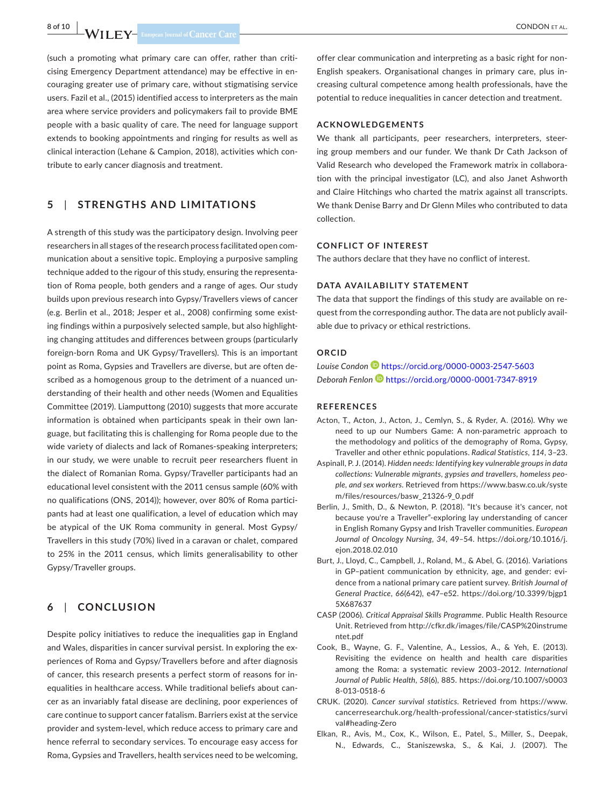(such a promoting what primary care can offer, rather than criticising Emergency Department attendance) may be effective in encouraging greater use of primary care, without stigmatising service users. Fazil et al., (2015) identified access to interpreters as the main area where service providers and policymakers fail to provide BME people with a basic quality of care. The need for language support extends to booking appointments and ringing for results as well as clinical interaction (Lehane & Campion, 2018), activities which contribute to early cancer diagnosis and treatment.

# **5**  | **STRENGTHS AND LIMITATIONS**

A strength of this study was the participatory design. Involving peer researchers in all stages of the research process facilitated open communication about a sensitive topic. Employing a purposive sampling technique added to the rigour of this study, ensuring the representation of Roma people, both genders and a range of ages. Our study builds upon previous research into Gypsy/Travellers views of cancer (e.g. Berlin et al., 2018; Jesper et al., 2008) confirming some existing findings within a purposively selected sample, but also highlighting changing attitudes and differences between groups (particularly foreign-born Roma and UK Gypsy/Travellers). This is an important point as Roma, Gypsies and Travellers are diverse, but are often described as a homogenous group to the detriment of a nuanced understanding of their health and other needs (Women and Equalities Committee (2019). Liamputtong (2010) suggests that more accurate information is obtained when participants speak in their own language, but facilitating this is challenging for Roma people due to the wide variety of dialects and lack of Romanes-speaking interpreters; in our study, we were unable to recruit peer researchers fluent in the dialect of Romanian Roma. Gypsy/Traveller participants had an educational level consistent with the 2011 census sample (60% with no qualifications (ONS, 2014)); however, over 80% of Roma participants had at least one qualification, a level of education which may be atypical of the UK Roma community in general. Most Gypsy/ Travellers in this study (70%) lived in a caravan or chalet, compared to 25% in the 2011 census, which limits generalisability to other Gypsy/Traveller groups.

# **6**  | **CONCLUSION**

Despite policy initiatives to reduce the inequalities gap in England and Wales, disparities in cancer survival persist. In exploring the experiences of Roma and Gypsy/Travellers before and after diagnosis of cancer, this research presents a perfect storm of reasons for inequalities in healthcare access. While traditional beliefs about cancer as an invariably fatal disease are declining, poor experiences of care continue to support cancer fatalism. Barriers exist at the service provider and system-level, which reduce access to primary care and hence referral to secondary services. To encourage easy access for Roma, Gypsies and Travellers, health services need to be welcoming,

offer clear communication and interpreting as a basic right for non-English speakers. Organisational changes in primary care, plus increasing cultural competence among health professionals, have the potential to reduce inequalities in cancer detection and treatment.

#### **ACKNOWLEDGEMENTS**

We thank all participants, peer researchers, interpreters, steering group members and our funder. We thank Dr Cath Jackson of Valid Research who developed the Framework matrix in collaboration with the principal investigator (LC), and also Janet Ashworth and Claire Hitchings who charted the matrix against all transcripts. We thank Denise Barry and Dr Glenn Miles who contributed to data collection.

#### **CONFLICT OF INTEREST**

The authors declare that they have no conflict of interest.

#### **DATA AVAILABILITY STATEMENT**

The data that support the findings of this study are available on request from the corresponding author. The data are not publicly available due to privacy or ethical restrictions.

# **ORCID**

*Louise Condon* <https://orcid.org/0000-0003-2547-5603> *Deborah Fenlon* <https://orcid.org/0000-0001-7347-8919>

#### **REFERENCES**

- Acton, T., Acton, J., Acton, J., Cemlyn, S., & Ryder, A. (2016). Why we need to up our Numbers Game: A non-parametric approach to the methodology and politics of the demography of Roma, Gypsy, Traveller and other ethnic populations. *Radical Statistics*, *114*, 3–23.
- Aspinall, P. J. (2014). *Hidden needs: Identifying key vulnerable groups in data collections: Vulnerable migrants, gypsies and travellers, homeless people, and sex workers*. Retrieved from [https://www.basw.co.uk/syste](https://www.basw.co.uk/system/files/resources/basw_21326-9_0.pdf) [m/files/resources/basw\\_21326-9\\_0.pdf](https://www.basw.co.uk/system/files/resources/basw_21326-9_0.pdf)
- Berlin, J., Smith, D., & Newton, P. (2018). "It's because it's cancer, not because you're a Traveller"-exploring lay understanding of cancer in English Romany Gypsy and Irish Traveller communities. *European Journal of Oncology Nursing*, *34*, 49–54. [https://doi.org/10.1016/j.](https://doi.org/10.1016/j.ejon.2018.02.010) [ejon.2018.02.010](https://doi.org/10.1016/j.ejon.2018.02.010)
- Burt, J., Lloyd, C., Campbell, J., Roland, M., & Abel, G. (2016). Variations in GP–patient communication by ethnicity, age, and gender: evidence from a national primary care patient survey. *British Journal of General Practice*, *66*(642), e47–e52. [https://doi.org/10.3399/bjgp1](https://doi.org/10.3399/bjgp15X687637) [5X687637](https://doi.org/10.3399/bjgp15X687637)
- CASP (2006). *Critical Appraisal Skills Programme*. Public Health Resource Unit. Retrieved from [http://cfkr.dk/images/file/CASP%20instrume](http://cfkr.dk/images/file/CASP instrumentet.pdf) [ntet.pdf](http://cfkr.dk/images/file/CASP instrumentet.pdf)
- Cook, B., Wayne, G. F., Valentine, A., Lessios, A., & Yeh, E. (2013). Revisiting the evidence on health and health care disparities among the Roma: a systematic review 2003–2012. *International Journal of Public Health*, *58*(6), 885. [https://doi.org/10.1007/s0003](https://doi.org/10.1007/s00038-013-0518-6) [8-013-0518-6](https://doi.org/10.1007/s00038-013-0518-6)
- CRUK. (2020). *Cancer survival statistics*. Retrieved from [https://www.](https://www.cancerresearchuk.org/health-professional/cancer-statistics/survival#heading-Zero) [cancerresearchuk.org/health-professional/cancer-statistics/survi](https://www.cancerresearchuk.org/health-professional/cancer-statistics/survival#heading-Zero) [val#heading-Zero](https://www.cancerresearchuk.org/health-professional/cancer-statistics/survival#heading-Zero)
- Elkan, R., Avis, M., Cox, K., Wilson, E., Patel, S., Miller, S., Deepak, N., Edwards, C., Staniszewska, S., & Kai, J. (2007). The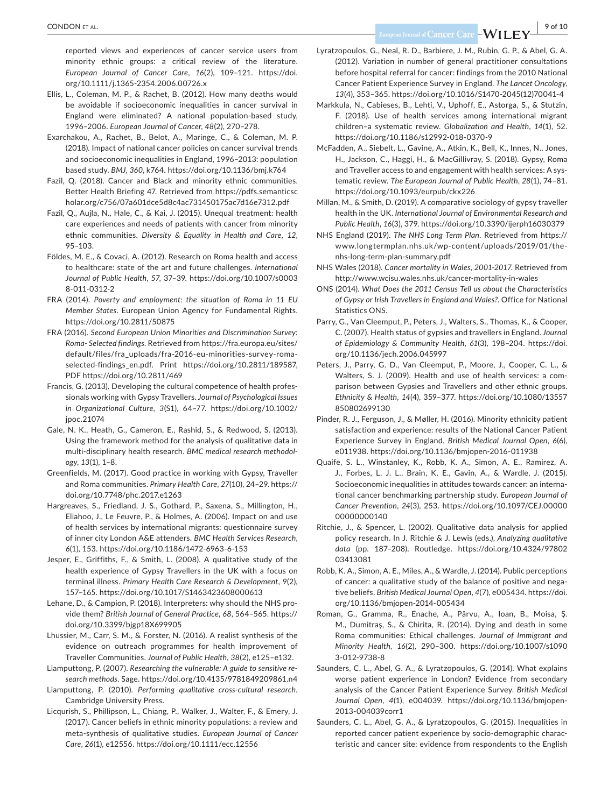reported views and experiences of cancer service users from minority ethnic groups: a critical review of the literature. *European Journal of Cancer Care*, *16*(2), 109–121. [https://doi.](https://doi.org/10.1111/j.1365-2354.2006.00726.x) [org/10.1111/j.1365-2354.2006.00726.x](https://doi.org/10.1111/j.1365-2354.2006.00726.x)

- Ellis, L., Coleman, M. P., & Rachet, B. (2012). How many deaths would be avoidable if socioeconomic inequalities in cancer survival in England were eliminated? A national population-based study, 1996–2006. *European Journal of Cancer*, *48*(2), 270–278.
- Exarchakou, A., Rachet, B., Belot, A., Maringe, C., & Coleman, M. P. (2018). Impact of national cancer policies on cancer survival trends and socioeconomic inequalities in England, 1996–2013: population based study. *BMJ*, *360*, k764.<https://doi.org/10.1136/bmj.k764>
- Fazil, Q. (2018). Cancer and Black and minority ethnic communities. Better Health Briefing 47. Retrieved from [https://pdfs.semanticsc](https://pdfs.semanticscholar.org/c756/07a601dce5d8c4ac731450175ac7d16e7312.pdf) [holar.org/c756/07a601dce5d8c4ac731450175ac7d16e7312.pdf](https://pdfs.semanticscholar.org/c756/07a601dce5d8c4ac731450175ac7d16e7312.pdf)
- Fazil, Q., Aujla, N., Hale, C., & Kai, J. (2015). Unequal treatment: health care experiences and needs of patients with cancer from minority ethnic communities. *Diversity & Equality in Health and Care*, *12*, 95–103.
- Földes, M. E., & Covaci, A. (2012). Research on Roma health and access to healthcare: state of the art and future challenges. *International Journal of Public Health*, *57*, 37–39. [https://doi.org/10.1007/s0003](https://doi.org/10.1007/s00038-011-0312-2) [8-011-0312-2](https://doi.org/10.1007/s00038-011-0312-2)
- FRA (2014). *Poverty and employment: the situation of Roma in 11 EU Member States*. European Union Agency for Fundamental Rights. <https://doi.org/10.2811/50875>
- FRA (2016). *Second European Union Minorities and Discrimination Survey: Roma- Selected findings*. Retrieved from [https://fra.europa.eu/sites/](https://fra.europa.eu/sites/default/files/fra_uploads/fra-2016-eu-minorities-survey-roma-selected-findings_en.pdf) [default/files/fra\\_uploads/fra-2016-eu-minorities-survey-roma](https://fra.europa.eu/sites/default/files/fra_uploads/fra-2016-eu-minorities-survey-roma-selected-findings_en.pdf)[selected-findings\\_en.pdf.](https://fra.europa.eu/sites/default/files/fra_uploads/fra-2016-eu-minorities-survey-roma-selected-findings_en.pdf) Print [https://doi.org/10.2811/189587,](https://doi.org/10.2811/189587) PDF <https://doi.org/10.2811/469>
- Francis, G. (2013). Developing the cultural competence of health professionals working with Gypsy Travellers. *Journal of Psychological Issues in Organizational Culture*, *3*(S1), 64–77. [https://doi.org/10.1002/](https://doi.org/10.1002/jpoc.21074) ipoc.21074
- Gale, N. K., Heath, G., Cameron, E., Rashid, S., & Redwood, S. (2013). Using the framework method for the analysis of qualitative data in multi-disciplinary health research. *BMC medical research methodology*, *13*(1), 1–8.
- Greenfields, M. (2017). Good practice in working with Gypsy, Traveller and Roma communities. *Primary Health Care*, *27*(10), 24–29. [https://](https://doi.org/10.7748/phc.2017.e1263) [doi.org/10.7748/phc.2017.e1263](https://doi.org/10.7748/phc.2017.e1263)
- Hargreaves, S., Friedland, J. S., Gothard, P., Saxena, S., Millington, H., Eliahoo, J., Le Feuvre, P., & Holmes, A. (2006). Impact on and use of health services by international migrants: questionnaire survey of inner city London A&E attenders. *BMC Health Services Research*, *6*(1), 153. <https://doi.org/10.1186/1472-6963-6-153>
- Jesper, E., Griffiths, F., & Smith, L. (2008). A qualitative study of the health experience of Gypsy Travellers in the UK with a focus on terminal illness. *Primary Health Care Research & Development*, *9*(2), 157–165. <https://doi.org/10.1017/S1463423608000613>
- Lehane, D., & Campion, P. (2018). Interpreters: why should the NHS provide them? *British Journal of General Practice*, *68*, 564–565. [https://](https://doi.org/10.3399/bjgp18X699905) [doi.org/10.3399/bjgp18X699905](https://doi.org/10.3399/bjgp18X699905)
- Lhussier, M., Carr, S. M., & Forster, N. (2016). A realist synthesis of the evidence on outreach programmes for health improvement of Traveller Communities. *Journal of Public Health*, *38*(2), e125–e132.
- Liamputtong, P. (2007). *Researching the vulnerable: A guide to sensitive research methods*. Sage. <https://doi.org/10.4135/9781849209861.n4>
- Liamputtong, P. (2010). *Performing qualitative cross-cultural research*. Cambridge University Press.
- Licqurish, S., Phillipson, L., Chiang, P., Walker, J., Walter, F., & Emery, J. (2017). Cancer beliefs in ethnic minority populations: a review and meta-synthesis of qualitative studies. *European Journal of Cancer Care*, *26*(1), e12556. <https://doi.org/10.1111/ecc.12556>
- Lyratzopoulos, G., Neal, R. D., Barbiere, J. M., Rubin, G. P., & Abel, G. A. (2012). Variation in number of general practitioner consultations before hospital referral for cancer: findings from the 2010 National Cancer Patient Experience Survey in England. *The Lancet Oncology*, *13*(4), 353–365. [https://doi.org/10.1016/S1470-2045\(12\)70041-4](https://doi.org/10.1016/S1470-2045(12)70041-4)
- Markkula, N., Cabieses, B., Lehti, V., Uphoff, E., Astorga, S., & Stutzin, F. (2018). Use of health services among international migrant children–a systematic review. *Globalization and Health*, *14*(1), 52. <https://doi.org/10.1186/s12992-018-0370-9>
- McFadden, A., Siebelt, L., Gavine, A., Atkin, K., Bell, K., Innes, N., Jones, H., Jackson, C., Haggi, H., & MacGillivray, S. (2018). Gypsy, Roma and Traveller access to and engagement with health services: A systematic review. *The European Journal of Public Health*, *28*(1), 74–81. <https://doi.org/10.1093/eurpub/ckx226>
- Millan, M., & Smith, D. (2019). A comparative sociology of gypsy traveller health in the UK. *International Journal of Environmental Research and Public Health*, *16*(3), 379. <https://doi.org/10.3390/ijerph16030379>
- NHS England (2019). *The NHS Long Term Plan*. Retrieved from [https://](https://www.longtermplan.nhs.uk/wp-content/uploads/2019/01/the-nhs-long-term-plan-summary.pdf) [www.longtermplan.nhs.uk/wp-content/uploads/2019/01/the](https://www.longtermplan.nhs.uk/wp-content/uploads/2019/01/the-nhs-long-term-plan-summary.pdf)[nhs-long-term-plan-summary.pdf](https://www.longtermplan.nhs.uk/wp-content/uploads/2019/01/the-nhs-long-term-plan-summary.pdf)
- NHS Wales (2018). *Cancer mortality in Wales, 2001-2017*. Retrieved from <http://www.wcisu.wales.nhs.uk/cancer-mortality-in-wales>
- ONS (2014). *What Does the 2011 Census Tell us about the Characteristics of Gypsy or Irish Travellers in England and Wales?*. Office for National Statistics ONS.
- Parry, G., Van Cleemput, P., Peters, J., Walters, S., Thomas, K., & Cooper, C. (2007). Health status of gypsies and travellers in England. *Journal of Epidemiology & Community Health*, *61*(3), 198–204. [https://doi.](https://doi.org/10.1136/jech.2006.045997) [org/10.1136/jech.2006.045997](https://doi.org/10.1136/jech.2006.045997)
- Peters, J., Parry, G. D., Van Cleemput, P., Moore, J., Cooper, C. L., & Walters, S. J. (2009). Health and use of health services: a comparison between Gypsies and Travellers and other ethnic groups. *Ethnicity & Health*, *14*(4), 359–377. [https://doi.org/10.1080/13557](https://doi.org/10.1080/13557850802699130) [850802699130](https://doi.org/10.1080/13557850802699130)
- Pinder, R. J., Ferguson, J., & Møller, H. (2016). Minority ethnicity patient satisfaction and experience: results of the National Cancer Patient Experience Survey in England. *British Medical Journal Open*, *6*(6), e011938. <https://doi.org/10.1136/bmjopen-2016-011938>
- Quaife, S. L., Winstanley, K., Robb, K. A., Simon, A. E., Ramirez, A. J., Forbes, L. J. L., Brain, K. E., Gavin, A., & Wardle, J. (2015). Socioeconomic inequalities in attitudes towards cancer: an international cancer benchmarking partnership study. *European Journal of Cancer Prevention*, *24*(3), 253. [https://doi.org/10.1097/CEJ.00000](https://doi.org/10.1097/CEJ.0000000000000140) [00000000140](https://doi.org/10.1097/CEJ.0000000000000140)
- Ritchie, J., & Spencer, L. (2002). Qualitative data analysis for applied policy research. In J. Ritchie & J. Lewis (eds.), *Analyzing qualitative data* (pp. 187–208). Routledge. [https://doi.org/10.4324/97802](https://doi.org/10.4324/9780203413081) [03413081](https://doi.org/10.4324/9780203413081)
- Robb, K. A., Simon, A. E., Miles, A., & Wardle, J. (2014). Public perceptions of cancer: a qualitative study of the balance of positive and negative beliefs. *British Medical Journal Open*, *4*(7), e005434. [https://doi.](https://doi.org/10.1136/bmjopen-2014-005434) [org/10.1136/bmjopen-2014-005434](https://doi.org/10.1136/bmjopen-2014-005434)
- Roman, G., Gramma, R., Enache, A., Pârvu, A., Ioan, B., Moisa, Ş. M., Dumitraş, S., & Chirita, R. (2014). Dying and death in some Roma communities: Ethical challenges. *Journal of Immigrant and Minority Health*, *16*(2), 290–300. [https://doi.org/10.1007/s1090](https://doi.org/10.1007/s10903-012-9738-8) [3-012-9738-8](https://doi.org/10.1007/s10903-012-9738-8)
- Saunders, C. L., Abel, G. A., & Lyratzopoulos, G. (2014). What explains worse patient experience in London? Evidence from secondary analysis of the Cancer Patient Experience Survey. *British Medical Journal Open*, *4*(1), e004039. [https://doi.org/10.1136/bmjopen-](https://doi.org/10.1136/bmjopen-2013-004039corr1)[2013-004039corr1](https://doi.org/10.1136/bmjopen-2013-004039corr1)
- Saunders, C. L., Abel, G. A., & Lyratzopoulos, G. (2015). Inequalities in reported cancer patient experience by socio-demographic characteristic and cancer site: evidence from respondents to the English